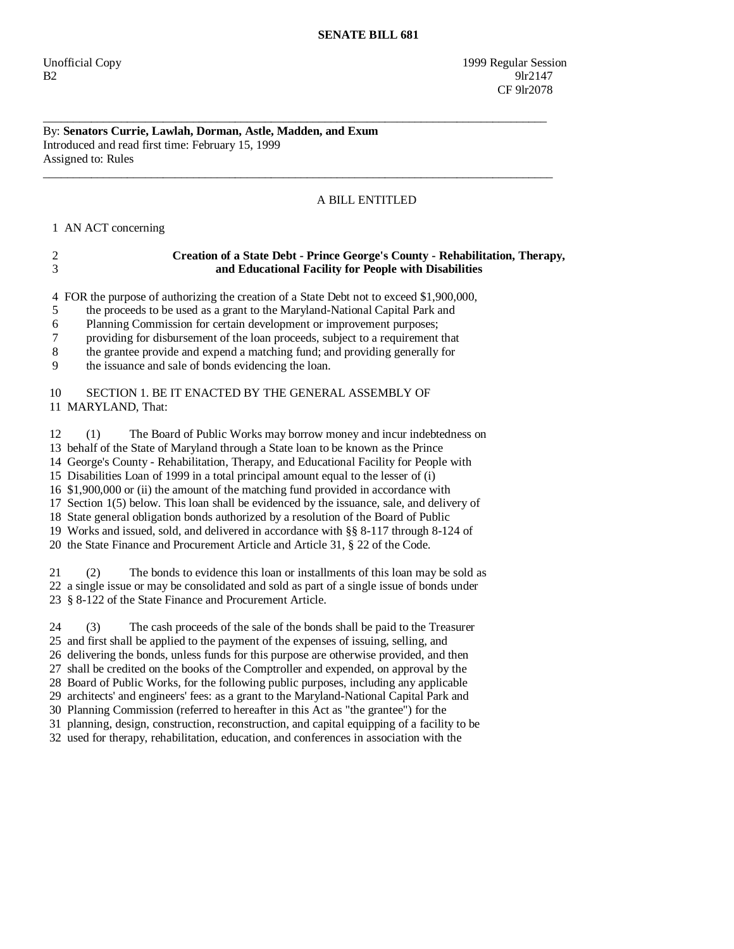## By: **Senators Currie, Lawlah, Dorman, Astle, Madden, and Exum**  Introduced and read first time: February 15, 1999 Assigned to: Rules

## A BILL ENTITLED

1 AN ACT concerning

|     | Creation of a State Debt - Prince George's County - Rehabilitation, Therapy, |
|-----|------------------------------------------------------------------------------|
| - 3 | and Educational Facility for People with Disabilities                        |

\_\_\_\_\_\_\_\_\_\_\_\_\_\_\_\_\_\_\_\_\_\_\_\_\_\_\_\_\_\_\_\_\_\_\_\_\_\_\_\_\_\_\_\_\_\_\_\_\_\_\_\_\_\_\_\_\_\_\_\_\_\_\_\_\_\_\_\_\_\_\_\_\_\_\_\_\_\_\_\_\_\_\_\_

\_\_\_\_\_\_\_\_\_\_\_\_\_\_\_\_\_\_\_\_\_\_\_\_\_\_\_\_\_\_\_\_\_\_\_\_\_\_\_\_\_\_\_\_\_\_\_\_\_\_\_\_\_\_\_\_\_\_\_\_\_\_\_\_\_\_\_\_\_\_\_\_\_\_\_\_\_\_\_\_\_\_\_\_\_

4 FOR the purpose of authorizing the creation of a State Debt not to exceed \$1,900,000,

5 the proceeds to be used as a grant to the Maryland-National Capital Park and

6 Planning Commission for certain development or improvement purposes;

7 providing for disbursement of the loan proceeds, subject to a requirement that

8 the grantee provide and expend a matching fund; and providing generally for

9 the issuance and sale of bonds evidencing the loan.

## 10 SECTION 1. BE IT ENACTED BY THE GENERAL ASSEMBLY OF 11 MARYLAND, That:

 12 (1) The Board of Public Works may borrow money and incur indebtedness on 13 behalf of the State of Maryland through a State loan to be known as the Prince 14 George's County - Rehabilitation, Therapy, and Educational Facility for People with 15 Disabilities Loan of 1999 in a total principal amount equal to the lesser of (i) 16 \$1,900,000 or (ii) the amount of the matching fund provided in accordance with 17 Section 1(5) below. This loan shall be evidenced by the issuance, sale, and delivery of 18 State general obligation bonds authorized by a resolution of the Board of Public 19 Works and issued, sold, and delivered in accordance with §§ 8-117 through 8-124 of 20 the State Finance and Procurement Article and Article 31, § 22 of the Code.

 21 (2) The bonds to evidence this loan or installments of this loan may be sold as 22 a single issue or may be consolidated and sold as part of a single issue of bonds under 23 § 8-122 of the State Finance and Procurement Article.

 24 (3) The cash proceeds of the sale of the bonds shall be paid to the Treasurer 25 and first shall be applied to the payment of the expenses of issuing, selling, and 26 delivering the bonds, unless funds for this purpose are otherwise provided, and then 27 shall be credited on the books of the Comptroller and expended, on approval by the 28 Board of Public Works, for the following public purposes, including any applicable 29 architects' and engineers' fees: as a grant to the Maryland-National Capital Park and 30 Planning Commission (referred to hereafter in this Act as "the grantee") for the 31 planning, design, construction, reconstruction, and capital equipping of a facility to be 32 used for therapy, rehabilitation, education, and conferences in association with the